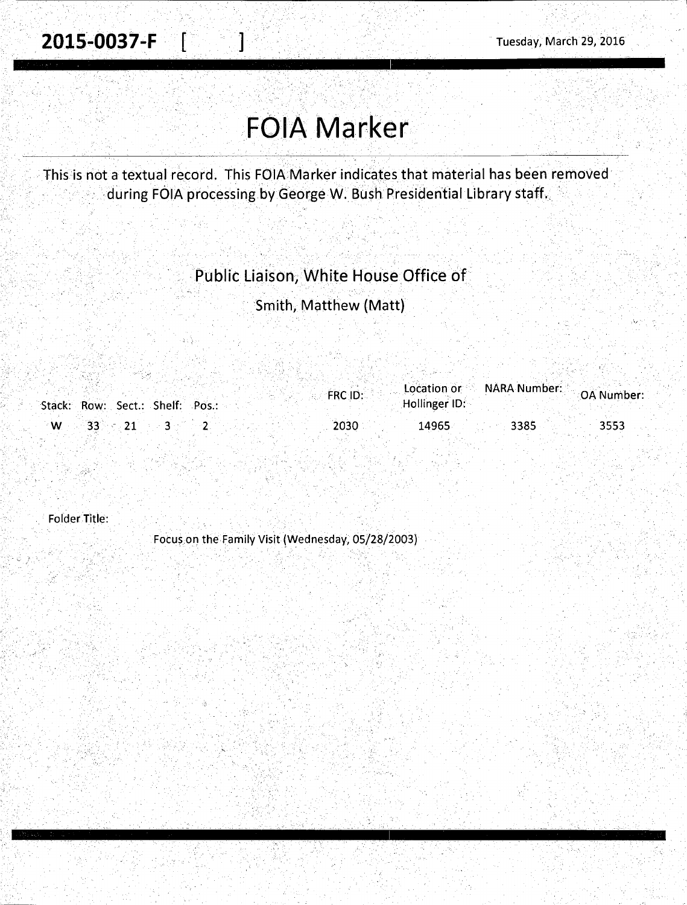## FOIA Marker

This is not a textual record. This FOIA Marker indicates that material has been removed during FOIA processing by George W. Bush Presidential Library staff.

## Public Liaison, White House Office of

Smith, Matthew (Matt)

|                  |                                 |  | FRC ID: | Location or NARA Number: |      | OA Number: |
|------------------|---------------------------------|--|---------|--------------------------|------|------------|
|                  | Stack: Row: Sect.: Shelf: Pos.: |  |         | Hollinger ID:            |      |            |
| $\sqrt{W}$ 33 21 |                                 |  | 2030    | 14965                    | 3385 | 3553       |

Folder Title:

>··

,·;....

Focus on the Family Visit (Wednesday, 05/28/2003)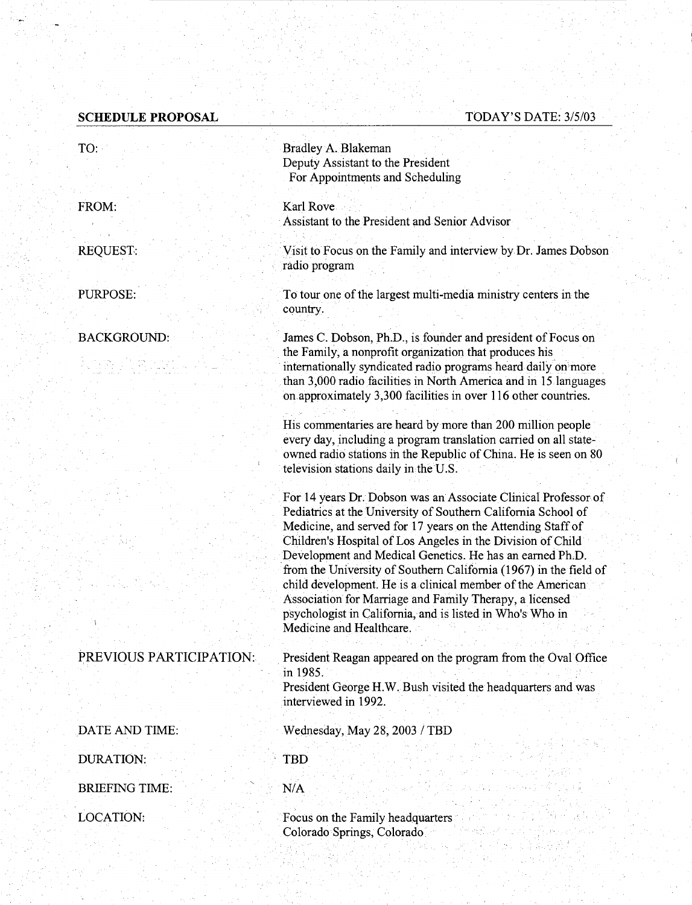## **SCHEDULE PROPOSAL**

## TODAY'S DATE: *315103*

| TO:                     | Bradley A. Blakeman<br>Deputy Assistant to the President<br>For Appointments and Scheduling                                                                                                                                                                                                                                                                                                                                                                                                                                                                                                                      |  |  |  |
|-------------------------|------------------------------------------------------------------------------------------------------------------------------------------------------------------------------------------------------------------------------------------------------------------------------------------------------------------------------------------------------------------------------------------------------------------------------------------------------------------------------------------------------------------------------------------------------------------------------------------------------------------|--|--|--|
| FROM:                   | Karl Rove<br>Assistant to the President and Senior Advisor                                                                                                                                                                                                                                                                                                                                                                                                                                                                                                                                                       |  |  |  |
| <b>REQUEST:</b>         | Visit to Focus on the Family and interview by Dr. James Dobson<br>radio program                                                                                                                                                                                                                                                                                                                                                                                                                                                                                                                                  |  |  |  |
| PURPOSE:                | To tour one of the largest multi-media ministry centers in the<br>country.                                                                                                                                                                                                                                                                                                                                                                                                                                                                                                                                       |  |  |  |
| <b>BACKGROUND:</b>      | James C. Dobson, Ph.D., is founder and president of Focus on<br>the Family, a nonprofit organization that produces his                                                                                                                                                                                                                                                                                                                                                                                                                                                                                           |  |  |  |
|                         | internationally syndicated radio programs heard daily on more<br>than 3,000 radio facilities in North America and in 15 languages<br>on approximately 3,300 facilities in over 116 other countries.                                                                                                                                                                                                                                                                                                                                                                                                              |  |  |  |
|                         | His commentaries are heard by more than 200 million people<br>every day, including a program translation carried on all state-<br>owned radio stations in the Republic of China. He is seen on 80<br>television stations daily in the U.S.                                                                                                                                                                                                                                                                                                                                                                       |  |  |  |
|                         | For 14 years Dr. Dobson was an Associate Clinical Professor of<br>Pediatrics at the University of Southern California School of<br>Medicine, and served for 17 years on the Attending Staff of<br>Children's Hospital of Los Angeles in the Division of Child<br>Development and Medical Genetics. He has an earned Ph.D.<br>from the University of Southern California (1967) in the field of<br>child development. He is a clinical member of the American<br>Association for Marriage and Family Therapy, a licensed<br>psychologist in California, and is listed in Who's Who in<br>Medicine and Healthcare. |  |  |  |
| PREVIOUS PARTICIPATION: | President Reagan appeared on the program from the Oval Office<br>in 1985.                                                                                                                                                                                                                                                                                                                                                                                                                                                                                                                                        |  |  |  |
|                         | President George H.W. Bush visited the headquarters and was<br>interviewed in 1992.                                                                                                                                                                                                                                                                                                                                                                                                                                                                                                                              |  |  |  |
| DATE AND TIME:          | Wednesday, May 28, 2003 / TBD                                                                                                                                                                                                                                                                                                                                                                                                                                                                                                                                                                                    |  |  |  |
| <b>DURATION:</b>        | <b>TBD</b>                                                                                                                                                                                                                                                                                                                                                                                                                                                                                                                                                                                                       |  |  |  |
| <b>BRIEFING TIME:</b>   | N/A                                                                                                                                                                                                                                                                                                                                                                                                                                                                                                                                                                                                              |  |  |  |
| LOCATION:               | Focus on the Family headquarters<br>Colorado Springs, Colorado                                                                                                                                                                                                                                                                                                                                                                                                                                                                                                                                                   |  |  |  |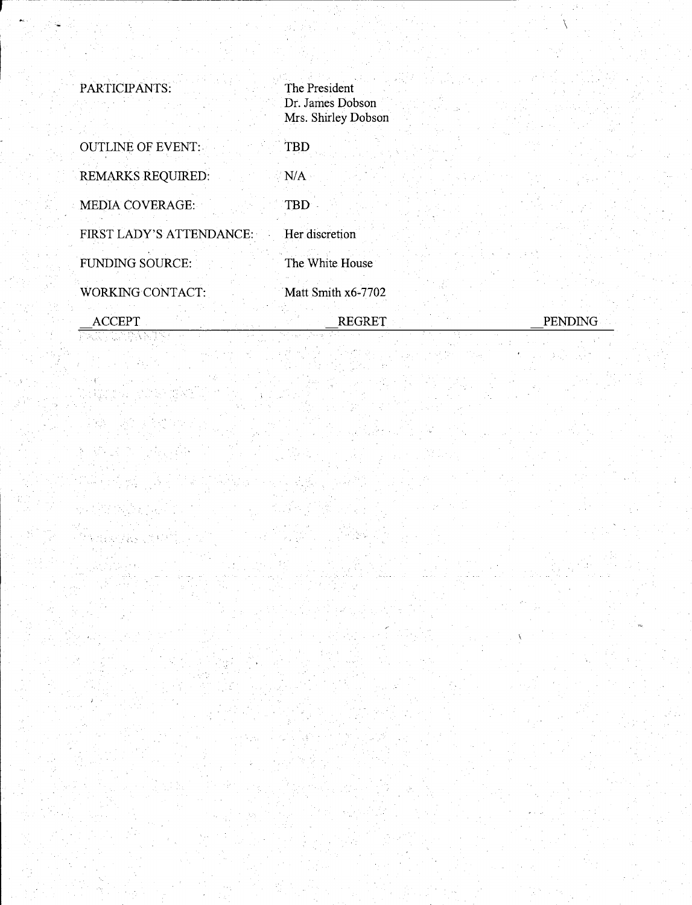| PARTICIPANTS:            | The President<br>Dr. James Dobson<br>Mrs. Shirley Dobson |         |
|--------------------------|----------------------------------------------------------|---------|
| <b>OUTLINE OF EVENT:</b> | TBD                                                      |         |
| <b>REMARKS REQUIRED:</b> | N/A                                                      |         |
| <b>MEDIA COVERAGE:</b>   | TBD                                                      |         |
| FIRST LADY'S ATTENDANCE: | Her discretion                                           |         |
| <b>FUNDING SOURCE:</b>   | The White House                                          |         |
| WORKING CONTACT:         | Matt Smith x6-7702                                       |         |
| <b>ACCEPT</b>            | <b>REGRET</b>                                            | PENDING |

 $\setminus$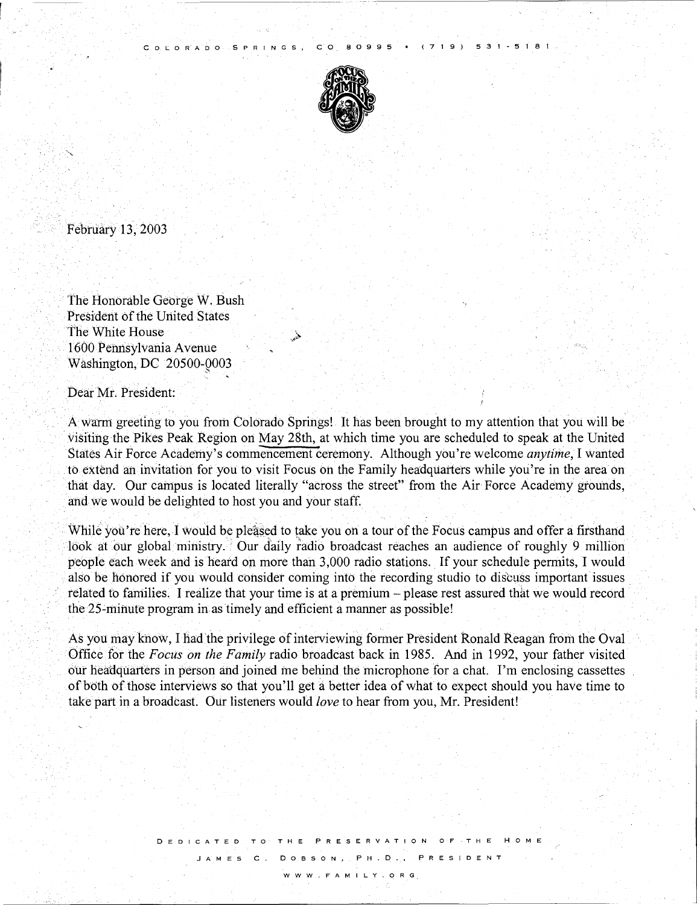

(719) 531-5181

COLORADO SPRINGS, CO 80995

February 13, 2003

The Honorable George W. Bush President of the United States The White House 1600 Pennsylvania A venue Washington, DC 20500-0003

Dear Mr. President:

Awann greeting to you from Colorado Springs! It has been brought to my attention that you will be visiting the Pikes Peak Region on May 28th, at which time you are scheduled to speak at the United States Ait Force Academy's commencement ceremony. Although you're welcome *anytime,* I Wanted to extend an invitation for you to visit Focus on the Family headquarters while you're in the area on that day. Our campus is located literally "across the street" from the Air Force Academy gtounds, and we would be delighted to host you and your staff.

While you're here, I would be pleased to take you on a tour of the Focus campus and offer a firsthand look at our global ministry. Our daily radio broadcast reaches an audience of roughly 9 million people each week and is heard on more than 3,000 radio stations. If your schedule permits, I would also be honored if you would consider coming into the recording studio to discuss important issues related to families. I realize that your time is at a premium - please rest assured that we would record the 25-minute program in as timely and efficient a manner as possible!

As you may know, I had the privilege of interviewing former President Ronald Reagan from the Oval Office for the *Focus on the Family* radio broadcast back in 1985. And in 1992, your father visited our headquarters in person and joined me behind the microphone for a chat. I'm enclosing cassettes of both of those interviews so that you'll get a better idea of what to expect should you have time to take part in a broadcast. Our listeners would *love* to hear from you, Mr. President!

**WWW.FAMILY.ORG** 

JAMES C. DOBSON, PH.D., PRES

**DEDICATED TO THE PRESERVATION OF THE HOME**